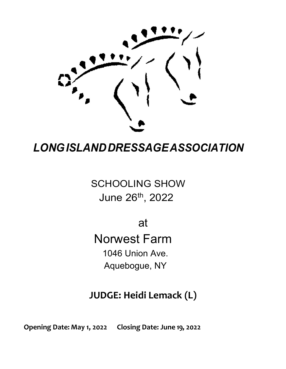

# *LONGISLANDDRESSAGEASSOCIATION*

SCHOOLING SHOW June 26th, 2022

at

Norwest Farm 1046 Union Ave. Aquebogue, NY

## **JUDGE: Heidi Lemack (L)**

**Opening Date: May 1, 2022 Closing Date: June 19, 2022**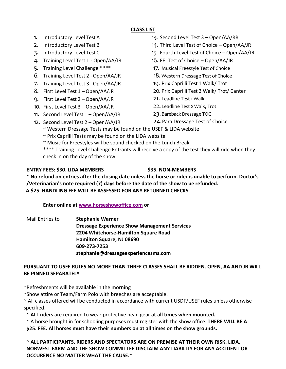### **CLASS LIST**

- 1. Introductory Level Test A
- 2. Introductory Level Test B
- 3. Introductory Level Test C
- 4. Training Level Test 1 Open/AA/JR
- 5. Training Level Challenge \*\*\*\*
- 6. Training Level Test 2 -Open/AA/JR
- 7. Training Level Test 3 -Open/AA/JR
- 8. First Level Test 1 Open/AA/JR
- 9. First Level Test 2 Open/AA/JR
- 10. First Level Test 3 Open/AA/JR
- 11. Second Level Test 1 Open/AA/JR
- 12. Second Level Test 2 Open/AA/JR
- 13. Second Level Test 3 Open/AA/RR
- 14. Third Level Test of Choice Open/AA/JR
- 15. Fourth Level Test of Choice Open/AA/JR
- 16. FEI Test of Choice Open/AA/JR
- 17. Musical Freestyle Test of Choice
- 18. Western Dressage Test of Choice
- 19. Prix Caprilli Test 1 Walk/ Trot
- 20. Prix Caprilli Test 2 Walk/ Trot/ Canter
- 21. Leadline Test 1 Walk
- 22. Leadline Test 2 Walk, Trot
- 23.Bareback Dressage TOC
- 24.Para Dressage Test of Choice
- ~ Western Dressage Tests may be found on the USEF & LIDA website
- ~ Prix Caprilli Tests may be found on the LIDA website
- ~ Music for Freestyles will be sound checked on the Lunch Break

\*\*\*\* Training Level Challenge Entrants will receive a copy of the test they will ride when they check in on the day of the show.

### **ENTRY FEES: \$30. LIDA MEMBERS \$35. NON-MEMBERS**

**~ No refund on entries after the closing date unless the horse or rider is unable to perform. Doctor's /Veterinarian's note required (7) days before the date of the show to be refunded. A \$25. HANDLING FEE WILL BE ASSESSED FOR ANY RETURNED CHECKS**

**Enter online at [www.horseshowoffice.com](https://www.horseshowoffice.com/) or**

Mail Entries to **Stephanie Warner Dressage Experience Show Management Services 2204 Whitehorse-Hamilton Square Road Hamilton Square, NJ 08690 609-273-7253 stephanie@dressageexperiencesms.com**

### **PURSUANT TO USEF RULES NO MORE THAN THREE CLASSES SHALL BE RIDDEN. OPEN, AA AND JR WILL BE PINNED SEPARATELY**

~Refreshments will be available in the morning

~Show attire or Team/Farm Polo with breeches are acceptable.

~ All classes offered will be conducted in accordance with current USDF/USEF rules unless otherwise specified.

~ **ALL** riders are required to wear protective head gear **at all times when mounted.**

~ A horse brought in for schooling purposes must register with the show office. **THERE WILL BE A**

**\$25. FEE. All horses must have their numbers on at all times on the show grounds.**

### **~ ALL PARTICIPANTS, RIDERS AND SPECTATORS ARE ON PREMISE AT THEIR OWN RISK. LIDA, NORWEST FARM AND THE SHOW COMMITTEE DISCLAIM ANY LIABILITY FOR ANY ACCIDENT OR OCCURENCE NO MATTER WHAT THE CAUSE.~**